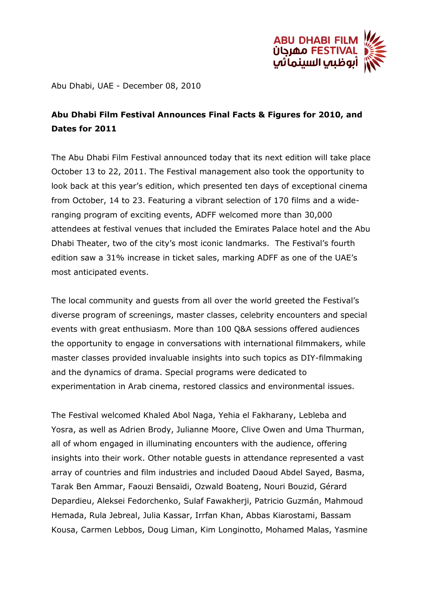

Abu Dhabi, UAE - December 08, 2010

## **Abu Dhabi Film Festival Announces Final Facts & Figures for 2010, and Dates for 2011**

The Abu Dhabi Film Festival announced today that its next edition will take place October 13 to 22, 2011. The Festival management also took the opportunity to look back at this year's edition, which presented ten days of exceptional cinema from October, 14 to 23. Featuring a vibrant selection of 170 films and a wideranging program of exciting events, ADFF welcomed more than 30,000 attendees at festival venues that included the Emirates Palace hotel and the Abu Dhabi Theater, two of the city's most iconic landmarks. The Festival's fourth edition saw a 31% increase in ticket sales, marking ADFF as one of the UAE's most anticipated events.

The local community and guests from all over the world greeted the Festival's diverse program of screenings, master classes, celebrity encounters and special events with great enthusiasm. More than 100 Q&A sessions offered audiences the opportunity to engage in conversations with international filmmakers, while master classes provided invaluable insights into such topics as DIY-filmmaking and the dynamics of drama. Special programs were dedicated to experimentation in Arab cinema, restored classics and environmental issues.

The Festival welcomed Khaled Abol Naga, Yehia el Fakharany, Lebleba and Yosra, as well as Adrien Brody, Julianne Moore, Clive Owen and Uma Thurman, all of whom engaged in illuminating encounters with the audience, offering insights into their work. Other notable guests in attendance represented a vast array of countries and film industries and included Daoud Abdel Sayed, Basma, Tarak Ben Ammar, Faouzi Bensaïdi, Ozwald Boateng, Nouri Bouzid, Gérard Depardieu, Aleksei Fedorchenko, Sulaf Fawakherji, Patricio Guzmán, Mahmoud Hemada, Rula Jebreal, Julia Kassar, Irrfan Khan, Abbas Kiarostami, Bassam Kousa, Carmen Lebbos, Doug Liman, Kim Longinotto, Mohamed Malas, Yasmine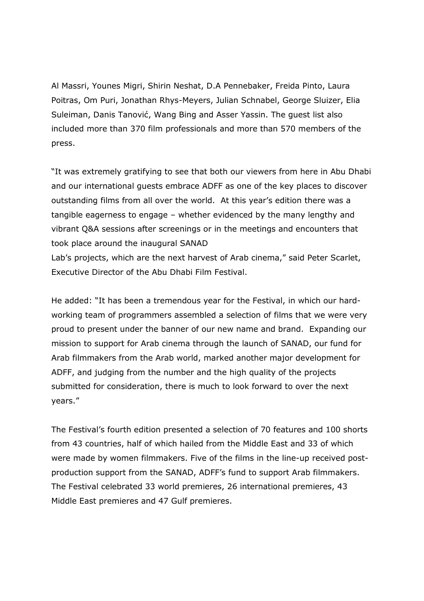Al Massri, Younes Migri, Shirin Neshat, D.A Pennebaker, Freida Pinto, Laura Poitras, Om Puri, Jonathan Rhys-Meyers, Julian Schnabel, George Sluizer, Elia Suleiman, Danis Tanović, Wang Bing and Asser Yassin. The guest list also included more than 370 film professionals and more than 570 members of the press.

"It was extremely gratifying to see that both our viewers from here in Abu Dhabi and our international guests embrace ADFF as one of the key places to discover outstanding films from all over the world. At this year's edition there was a tangible eagerness to engage – whether evidenced by the many lengthy and vibrant Q&A sessions after screenings or in the meetings and encounters that took place around the inaugural SANAD

Lab's projects, which are the next harvest of Arab cinema," said Peter Scarlet, Executive Director of the Abu Dhabi Film Festival.

He added: "It has been a tremendous year for the Festival, in which our hardworking team of programmers assembled a selection of films that we were very proud to present under the banner of our new name and brand. Expanding our mission to support for Arab cinema through the launch of SANAD, our fund for Arab filmmakers from the Arab world, marked another major development for ADFF, and judging from the number and the high quality of the projects submitted for consideration, there is much to look forward to over the next years."

The Festival's fourth edition presented a selection of 70 features and 100 shorts from 43 countries, half of which hailed from the Middle East and 33 of which were made by women filmmakers. Five of the films in the line-up received postproduction support from the SANAD, ADFF's fund to support Arab filmmakers. The Festival celebrated 33 world premieres, 26 international premieres, 43 Middle East premieres and 47 Gulf premieres.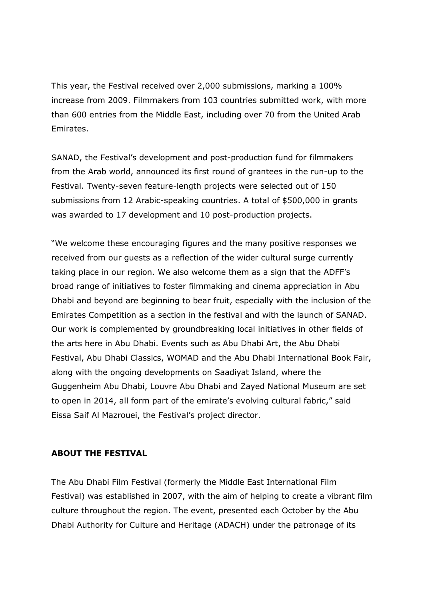This year, the Festival received over 2,000 submissions, marking a 100% increase from 2009. Filmmakers from 103 countries submitted work, with more than 600 entries from the Middle East, including over 70 from the United Arab Emirates.

SANAD, the Festival's development and post-production fund for filmmakers from the Arab world, announced its first round of grantees in the run-up to the Festival. Twenty-seven feature-length projects were selected out of 150 submissions from 12 Arabic-speaking countries. A total of \$500,000 in grants was awarded to 17 development and 10 post-production projects.

"We welcome these encouraging figures and the many positive responses we received from our guests as a reflection of the wider cultural surge currently taking place in our region. We also welcome them as a sign that the ADFF's broad range of initiatives to foster filmmaking and cinema appreciation in Abu Dhabi and beyond are beginning to bear fruit, especially with the inclusion of the Emirates Competition as a section in the festival and with the launch of SANAD. Our work is complemented by groundbreaking local initiatives in other fields of the arts here in Abu Dhabi. Events such as Abu Dhabi Art, the Abu Dhabi Festival, Abu Dhabi Classics, WOMAD and the Abu Dhabi International Book Fair, along with the ongoing developments on Saadiyat Island, where the Guggenheim Abu Dhabi, Louvre Abu Dhabi and Zayed National Museum are set to open in 2014, all form part of the emirate's evolving cultural fabric," said Eissa Saif Al Mazrouei, the Festival's project director.

## **ABOUT THE FESTIVAL**

The Abu Dhabi Film Festival (formerly the Middle East International Film Festival) was established in 2007, with the aim of helping to create a vibrant film culture throughout the region. The event, presented each October by the Abu Dhabi Authority for Culture and Heritage (ADACH) under the patronage of its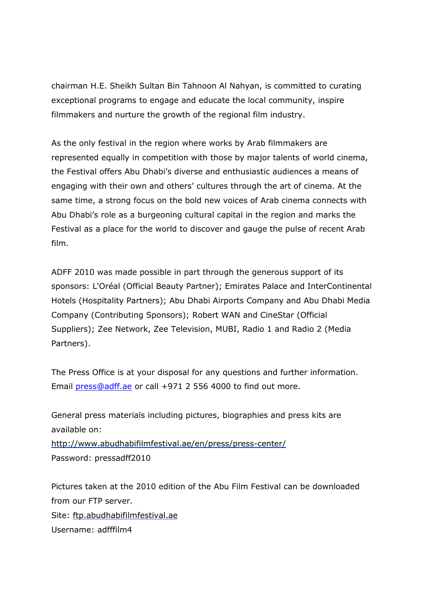chairman H.E. Sheikh Sultan Bin Tahnoon Al Nahyan, is committed to curating exceptional programs to engage and educate the local community, inspire filmmakers and nurture the growth of the regional film industry.

As the only festival in the region where works by Arab filmmakers are represented equally in competition with those by major talents of world cinema, the Festival offers Abu Dhabi's diverse and enthusiastic audiences a means of engaging with their own and others' cultures through the art of cinema. At the same time, a strong focus on the bold new voices of Arab cinema connects with Abu Dhabi's role as a burgeoning cultural capital in the region and marks the Festival as a place for the world to discover and gauge the pulse of recent Arab film.

ADFF 2010 was made possible in part through the generous support of its sponsors: L'Oréal (Official Beauty Partner); Emirates Palace and InterContinental Hotels (Hospitality Partners); Abu Dhabi Airports Company and Abu Dhabi Media Company (Contributing Sponsors); Robert WAN and CineStar (Official Suppliers); Zee Network, Zee Television, MUBI, Radio 1 and Radio 2 (Media Partners).

The Press Office is at your disposal for any questions and further information. Email [press@adff.ae](mailto:press@adff.ae) or call +971 2 556 4000 to find out more.

General press materials including pictures, biographies and press kits are available on: <http://www.abudhabifilmfestival.ae/en/press/press-center/> Password: pressadff2010

Pictures taken at the 2010 edition of the Abu Film Festival can be downloaded from our FTP server. Site: [ftp.abudhabifilmfestival.ae](ftp://ftp.abudhabifilmfestival.ae/) Username: adfffilm4